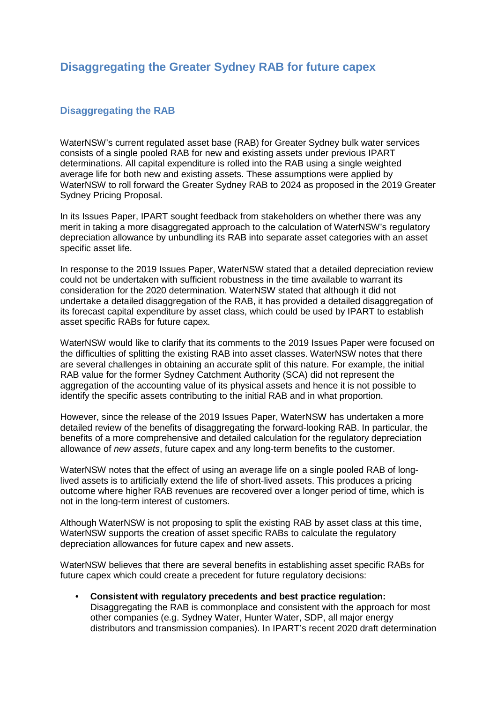# **Disaggregating the Greater Sydney RAB for future capex**

## **Disaggregating the RAB**

WaterNSW's current regulated asset base (RAB) for Greater Sydney bulk water services consists of a single pooled RAB for new and existing assets under previous IPART determinations. All capital expenditure is rolled into the RAB using a single weighted average life for both new and existing assets. These assumptions were applied by WaterNSW to roll forward the Greater Sydney RAB to 2024 as proposed in the 2019 Greater Sydney Pricing Proposal.

In its Issues Paper, IPART sought feedback from stakeholders on whether there was any merit in taking a more disaggregated approach to the calculation of WaterNSW's regulatory depreciation allowance by unbundling its RAB into separate asset categories with an asset specific asset life.

In response to the 2019 Issues Paper, WaterNSW stated that a detailed depreciation review could not be undertaken with sufficient robustness in the time available to warrant its consideration for the 2020 determination. WaterNSW stated that although it did not undertake a detailed disaggregation of the RAB, it has provided a detailed disaggregation of its forecast capital expenditure by asset class, which could be used by IPART to establish asset specific RABs for future capex.

WaterNSW would like to clarify that its comments to the 2019 Issues Paper were focused on the difficulties of splitting the existing RAB into asset classes. WaterNSW notes that there are several challenges in obtaining an accurate split of this nature. For example, the initial RAB value for the former Sydney Catchment Authority (SCA) did not represent the aggregation of the accounting value of its physical assets and hence it is not possible to identify the specific assets contributing to the initial RAB and in what proportion.

However, since the release of the 2019 Issues Paper, WaterNSW has undertaken a more detailed review of the benefits of disaggregating the forward-looking RAB. In particular, the benefits of a more comprehensive and detailed calculation for the regulatory depreciation allowance of *new assets*, future capex and any long-term benefits to the customer.

WaterNSW notes that the effect of using an average life on a single pooled RAB of longlived assets is to artificially extend the life of short-lived assets. This produces a pricing outcome where higher RAB revenues are recovered over a longer period of time, which is not in the long-term interest of customers.

Although WaterNSW is not proposing to split the existing RAB by asset class at this time, WaterNSW supports the creation of asset specific RABs to calculate the regulatory depreciation allowances for future capex and new assets.

WaterNSW believes that there are several benefits in establishing asset specific RABs for future capex which could create a precedent for future regulatory decisions:

• **Consistent with regulatory precedents and best practice regulation:** Disaggregating the RAB is commonplace and consistent with the approach for most other companies (e.g. Sydney Water, Hunter Water, SDP, all major energy distributors and transmission companies). In IPART's recent 2020 draft determination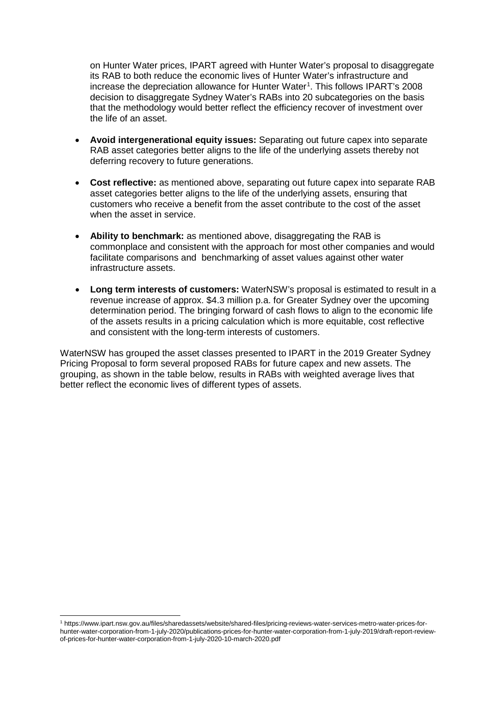on Hunter Water prices, IPART agreed with Hunter Water's proposal to disaggregate its RAB to both reduce the economic lives of Hunter Water's infrastructure and increase the depreciation allowance for Hunter Water<sup>[1](#page-1-0)</sup>. This follows IPART's 2008 decision to disaggregate Sydney Water's RABs into 20 subcategories on the basis that the methodology would better reflect the efficiency recover of investment over the life of an asset.

- **Avoid intergenerational equity issues:** Separating out future capex into separate RAB asset categories better aligns to the life of the underlying assets thereby not deferring recovery to future generations.
- **Cost reflective:** as mentioned above, separating out future capex into separate RAB asset categories better aligns to the life of the underlying assets, ensuring that customers who receive a benefit from the asset contribute to the cost of the asset when the asset in service.
- **Ability to benchmark:** as mentioned above, disaggregating the RAB is commonplace and consistent with the approach for most other companies and would facilitate comparisons and benchmarking of asset values against other water infrastructure assets.
- **Long term interests of customers:** WaterNSW's proposal is estimated to result in a revenue increase of approx. \$4.3 million p.a. for Greater Sydney over the upcoming determination period. The bringing forward of cash flows to align to the economic life of the assets results in a pricing calculation which is more equitable, cost reflective and consistent with the long-term interests of customers.

WaterNSW has grouped the asset classes presented to IPART in the 2019 Greater Sydney Pricing Proposal to form several proposed RABs for future capex and new assets. The grouping, as shown in the table below, results in RABs with weighted average lives that better reflect the economic lives of different types of assets.

<span id="page-1-0"></span> <sup>1</sup> https://www.ipart.nsw.gov.au/files/sharedassets/website/shared-files/pricing-reviews-water-services-metro-water-prices-forhunter-water-corporation-from-1-july-2020/publications-prices-for-hunter-water-corporation-from-1-july-2019/draft-report-reviewof-prices-for-hunter-water-corporation-from-1-july-2020-10-march-2020.pdf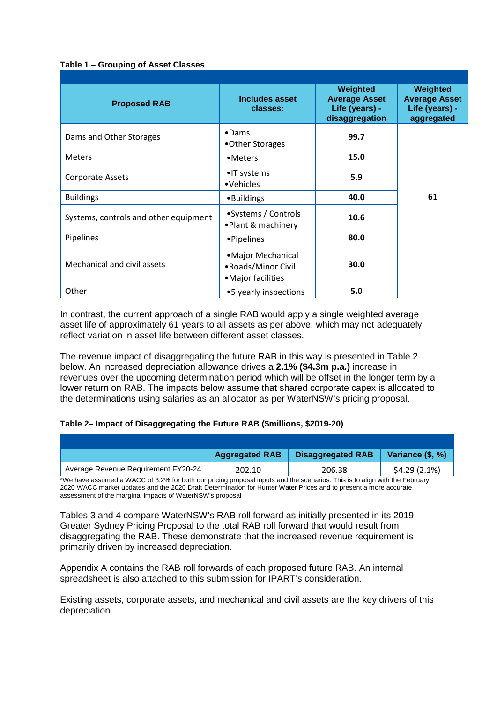#### **Table 1 – Grouping of Asset Classes**

| <b>Proposed RAB</b>                   | Includes asset<br>classes:                                      | Weighted<br><b>Average Asset</b><br>Life (years) -<br>disaggregation | Weighted<br><b>Average Asset</b><br>Life (years) -<br>aggregated |
|---------------------------------------|-----------------------------------------------------------------|----------------------------------------------------------------------|------------------------------------------------------------------|
| Dams and Other Storages               | $\bullet$ Dams<br>•Other Storages                               | 99.7                                                                 |                                                                  |
| <b>Meters</b>                         | •Meters                                                         | 15.0                                                                 |                                                                  |
| <b>Corporate Assets</b>               | •IT systems<br>•Vehicles                                        | 5.9                                                                  |                                                                  |
| <b>Buildings</b>                      | •Buildings                                                      | 40.0                                                                 | 61                                                               |
| Systems, controls and other equipment | • Systems / Controls<br>•Plant & machinery                      | 10.6                                                                 |                                                                  |
| Pipelines                             | • Pipelines                                                     | 80.0                                                                 |                                                                  |
| Mechanical and civil assets           | • Major Mechanical<br>• Roads/Minor Civil<br>• Major facilities | 30.0                                                                 |                                                                  |
| Other                                 | •5 yearly inspections                                           | 5.0                                                                  |                                                                  |

In contrast, the current approach of a single RAB would apply a single weighted average asset life of approximately 61 years to all assets as per above, which may not adequately reflect variation in asset life between different asset classes.

The revenue impact of disaggregating the future RAB in this way is presented in Table 2 below. An increased depreciation allowance drives a **2.1% (\$4.3m p.a.)** increase in revenues over the upcoming determination period which will be offset in the longer term by a lower return on RAB. The impacts below assume that shared corporate capex is allocated to the determinations using salaries as an allocator as per WaterNSW's pricing proposal.

#### **Table 2– Impact of Disaggregating the Future RAB (\$millions, \$2019-20)**

|                                     | <b>Aggregated RAB</b> | <b>Disaggregated RAB</b> | Variance (\$, %) |
|-------------------------------------|-----------------------|--------------------------|------------------|
| Average Revenue Requirement FY20-24 | 202.10                | 206.38                   | \$4.29(2.1%)     |

\*We have assumed a WACC of 3.2% for both our pricing proposal inputs and the scenarios. This is to align with the February 2020 WACC market updates and the 2020 Draft Determination for Hunter Water Prices and to present a more accurate assessment of the marginal impacts of WaterNSW's proposal

Tables 3 and 4 compare WaterNSW's RAB roll forward as initially presented in its 2019 Greater Sydney Pricing Proposal to the total RAB roll forward that would result from disaggregating the RAB. These demonstrate that the increased revenue requirement is primarily driven by increased depreciation.

Appendix A contains the RAB roll forwards of each proposed future RAB. An internal spreadsheet is also attached to this submission for IPART's consideration.

Existing assets, corporate assets, and mechanical and civil assets are the key drivers of this depreciation.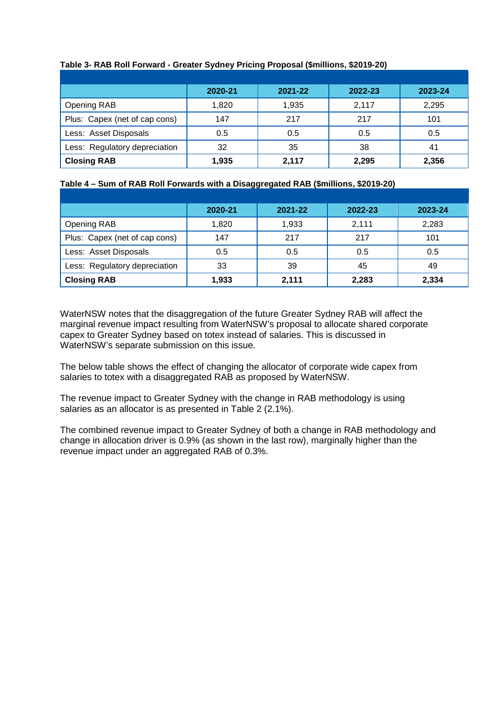|                               | 2020-21 | 2021-22 | 2022-23 | 2023-24 |
|-------------------------------|---------|---------|---------|---------|
| Opening RAB                   | 1,820   | 1,935   | 2,117   | 2,295   |
| Plus: Capex (net of cap cons) | 147     | 217     | 217     | 101     |
| Less: Asset Disposals         | 0.5     | 0.5     | 0.5     | 0.5     |
| Less: Regulatory depreciation | 32      | 35      | 38      | 41      |
| <b>Closing RAB</b>            | 1,935   | 2,117   | 2,295   | 2,356   |

### **Table 3- RAB Roll Forward - Greater Sydney Pricing Proposal (\$millions, \$2019-20)**

### **Table 4 – Sum of RAB Roll Forwards with a Disaggregated RAB (\$millions, \$2019-20)**

|                               | 2020-21 | 2021-22 | 2022-23 | 2023-24 |
|-------------------------------|---------|---------|---------|---------|
| Opening RAB                   | 1,820   | 1,933   | 2.111   | 2,283   |
| Plus: Capex (net of cap cons) | 147     | 217     | 217     | 101     |
| Less: Asset Disposals         | 0.5     | 0.5     | 0.5     | 0.5     |
| Less: Regulatory depreciation | 33      | 39      | 45      | 49      |
| <b>Closing RAB</b>            | 1,933   | 2,111   | 2,283   | 2,334   |

WaterNSW notes that the disaggregation of the future Greater Sydney RAB will affect the marginal revenue impact resulting from WaterNSW's proposal to allocate shared corporate capex to Greater Sydney based on totex instead of salaries. This is discussed in WaterNSW's separate submission on this issue.

The below table shows the effect of changing the allocator of corporate wide capex from salaries to totex with a disaggregated RAB as proposed by WaterNSW.

The revenue impact to Greater Sydney with the change in RAB methodology is using salaries as an allocator is as presented in Table 2 (2.1%).

The combined revenue impact to Greater Sydney of both a change in RAB methodology and change in allocation driver is 0.9% (as shown in the last row), marginally higher than the revenue impact under an aggregated RAB of 0.3%.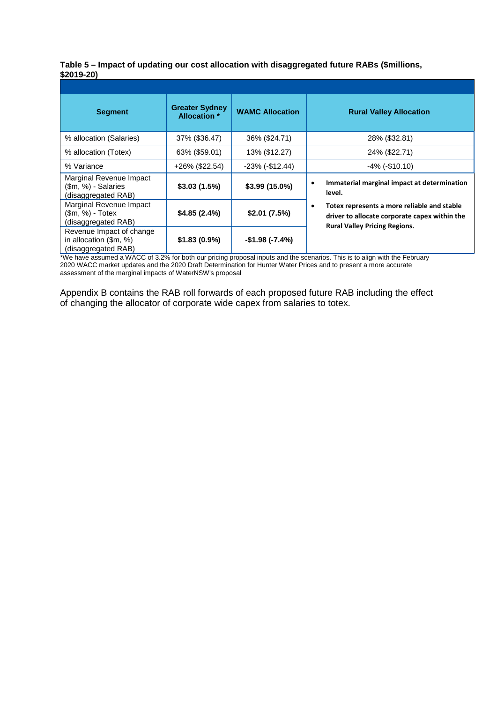|             |  |  | Table 5 – Impact of updating our cost allocation with disaggregated future RABs (\$millions, |  |
|-------------|--|--|----------------------------------------------------------------------------------------------|--|
| $$2019-20)$ |  |  |                                                                                              |  |

| <b>Segment</b>                                                            | <b>Greater Sydney</b><br><b>Allocation</b> * | <b>WAMC Allocation</b> | <b>Rural Valley Allocation</b>                                                                                                            |
|---------------------------------------------------------------------------|----------------------------------------------|------------------------|-------------------------------------------------------------------------------------------------------------------------------------------|
| % allocation (Salaries)                                                   | 37% (\$36.47)                                | 36% (\$24.71)          | 28% (\$32.81)                                                                                                                             |
| % allocation (Totex)                                                      | 63% (\$59.01)                                | 13% (\$12.27)          | 24% (\$22.71)                                                                                                                             |
| % Variance                                                                | +26% (\$22.54)                               | $-23\%$ ( $-12.44$ )   | $-4\%$ ( $-$10.10$ )                                                                                                                      |
| Marginal Revenue Impact<br>(\$m, %) - Salaries<br>(disaggregated RAB)     | \$3.03(1.5%)                                 | \$3.99 (15.0%)         | Immaterial marginal impact at determination<br>level.                                                                                     |
| Marginal Revenue Impact<br>$(\$m, \%)$ - Totex<br>(disaggregated RAB)     | \$4.85(2.4%)                                 | \$2.01(7.5%)           | Totex represents a more reliable and stable<br>٠<br>driver to allocate corporate capex within the<br><b>Rural Valley Pricing Regions.</b> |
| Revenue Impact of change<br>in allocation (\$m, %)<br>(disaggregated RAB) | \$1.83(0.9%)                                 | $-$1.98 (-7.4%)$       |                                                                                                                                           |

\*We have assumed a WACC of 3.2% for both our pricing proposal inputs and the scenarios. This is to align with the February 2020 WACC market updates and the 2020 Draft Determination for Hunter Water Prices and to present a more accurate assessment of the marginal impacts of WaterNSW's proposal

Appendix B contains the RAB roll forwards of each proposed future RAB including the effect of changing the allocator of corporate wide capex from salaries to totex.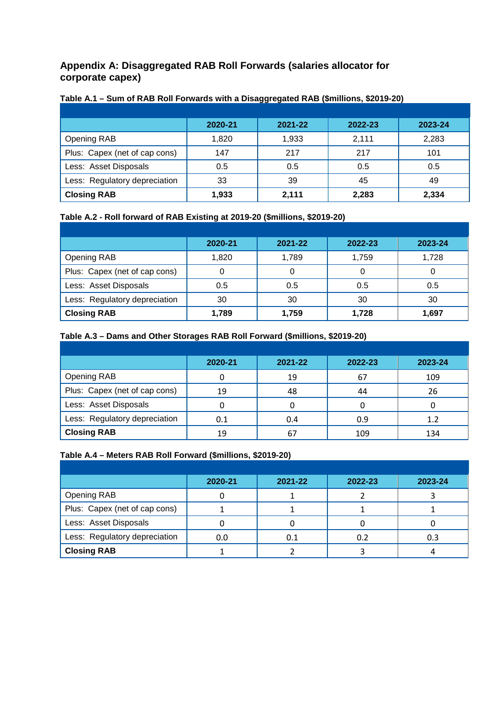## **Appendix A: Disaggregated RAB Roll Forwards (salaries allocator for corporate capex)**

|                               | 2020-21 | 2021-22 | 2022-23 | 2023-24 |
|-------------------------------|---------|---------|---------|---------|
| Opening RAB                   | 1,820   | 1,933   | 2,111   | 2,283   |
| Plus: Capex (net of cap cons) | 147     | 217     | 217     | 101     |
| Less: Asset Disposals         | 0.5     | 0.5     | 0.5     | 0.5     |
| Less: Regulatory depreciation | 33      | 39      | 45      | 49      |
| <b>Closing RAB</b>            | 1,933   | 2,111   | 2,283   | 2,334   |

### **Table A.1 – Sum of RAB Roll Forwards with a Disaggregated RAB (\$millions, \$2019-20)**

## **Table A.2 - Roll forward of RAB Existing at 2019-20 (\$millions, \$2019-20)**

|                               | 2020-21 | 2021-22 | 2022-23 | 2023-24 |
|-------------------------------|---------|---------|---------|---------|
|                               |         |         |         |         |
| Opening RAB                   | 1,820   | 1,789   | 1,759   | 1,728   |
| Plus: Capex (net of cap cons) |         |         |         |         |
| Less: Asset Disposals         | 0.5     | 0.5     | 0.5     | 0.5     |
| Less: Regulatory depreciation | 30      | 30      | 30      | 30      |
| <b>Closing RAB</b>            | 1,789   | 1,759   | 1,728   | 1,697   |

### **Table A.3 – Dams and Other Storages RAB Roll Forward (\$millions, \$2019-20)**

|                               | 2020-21 | 2021-22 | 2022-23 | 2023-24 |
|-------------------------------|---------|---------|---------|---------|
| Opening RAB                   |         | 19      | 67      | 109     |
| Plus: Capex (net of cap cons) | 19      | 48      | 44      | 26      |
| Less: Asset Disposals         |         | 0       |         |         |
| Less: Regulatory depreciation | 0.1     | 0.4     | 0.9     | 1.2     |
| <b>Closing RAB</b>            | 19      | 67      | 109     | 134     |

### **Table A.4 – Meters RAB Roll Forward (\$millions, \$2019-20)**

|                               | 2020-21 | 2021-22 | 2022-23 | 2023-24 |
|-------------------------------|---------|---------|---------|---------|
| <b>Opening RAB</b>            |         |         |         |         |
| Plus: Capex (net of cap cons) |         |         |         |         |
| Less: Asset Disposals         |         |         |         |         |
| Less: Regulatory depreciation | 0.0     | 0.1     | 0.2     | 0.3     |
| <b>Closing RAB</b>            |         |         |         |         |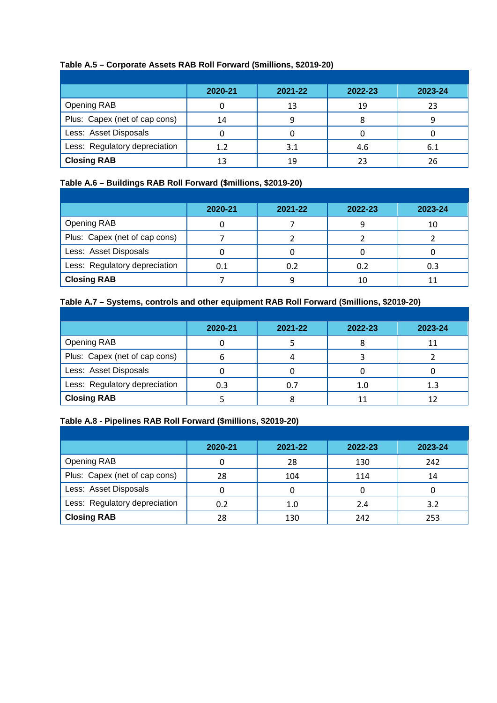## **Table A.5 – Corporate Assets RAB Roll Forward (\$millions, \$2019-20)**

|                               | 2020-21 | 2021-22 | 2022-23 | 2023-24 |
|-------------------------------|---------|---------|---------|---------|
| Opening RAB                   |         | 13      | 19      | 23      |
| Plus: Capex (net of cap cons) | 14      |         |         |         |
| Less: Asset Disposals         |         |         |         |         |
| Less: Regulatory depreciation | 1.2     | 3.1     | 4.6     | 6.1     |
| <b>Closing RAB</b>            |         | 19      |         | 26      |

### **Table A.6 – Buildings RAB Roll Forward (\$millions, \$2019-20)**

|                               | 2020-21 | 2021-22 | 2022-23 | 2023-24 |
|-------------------------------|---------|---------|---------|---------|
| Opening RAB                   |         |         |         | 10      |
| Plus: Capex (net of cap cons) |         |         |         |         |
| Less: Asset Disposals         |         |         |         |         |
| Less: Regulatory depreciation | 0.1     | 0.2     | 0.2     | 0.3     |
| <b>Closing RAB</b>            |         |         |         |         |

## **Table A.7 – Systems, controls and other equipment RAB Roll Forward (\$millions, \$2019-20)**

|                               | 2020-21 | 2021-22 | 2022-23 | 2023-24 |
|-------------------------------|---------|---------|---------|---------|
| <b>Opening RAB</b>            |         |         |         |         |
| Plus: Capex (net of cap cons) |         |         |         |         |
| Less: Asset Disposals         |         |         |         |         |
| Less: Regulatory depreciation | 0.3     | 0.7     | 1.0     | 1.3     |
| <b>Closing RAB</b>            |         |         |         |         |

### **Table A.8 - Pipelines RAB Roll Forward (\$millions, \$2019-20)**

|                               | 2020-21 | 2021-22 | 2022-23 | 2023-24 |
|-------------------------------|---------|---------|---------|---------|
| Opening RAB                   |         | 28      | 130     | 242     |
| Plus: Capex (net of cap cons) | 28      | 104     | 114     | 14      |
| Less: Asset Disposals         |         |         |         |         |
| Less: Regulatory depreciation | 0.2     | 1.0     | 2.4     | 3.2     |
| <b>Closing RAB</b>            | 28      | 130     | 242     | 253     |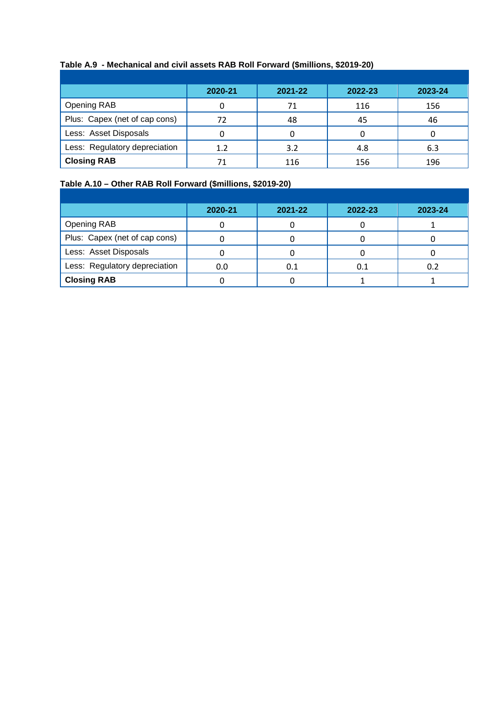# **Table A.9 - Mechanical and civil assets RAB Roll Forward (\$millions, \$2019-20)**

|                               | 2020-21 | 2021-22 | 2022-23 | 2023-24 |
|-------------------------------|---------|---------|---------|---------|
| Opening RAB                   |         | 71      | 116     | 156     |
| Plus: Capex (net of cap cons) | 72      | 48      | 45      | 46      |
| Less: Asset Disposals         |         |         |         |         |
| Less: Regulatory depreciation | 1.2     | 3.2     | 4.8     | 6.3     |
| <b>Closing RAB</b>            |         | 116     | 156     | 196     |

## **Table A.10 – Other RAB Roll Forward (\$millions, \$2019-20)**

|                               | 2020-21 | 2021-22 | 2022-23 | 2023-24 |
|-------------------------------|---------|---------|---------|---------|
| Opening RAB                   |         |         |         |         |
| Plus: Capex (net of cap cons) |         |         |         |         |
| Less: Asset Disposals         |         |         |         |         |
| Less: Regulatory depreciation | 0.0     | 0.1     |         | 0.2     |
| <b>Closing RAB</b>            |         |         |         |         |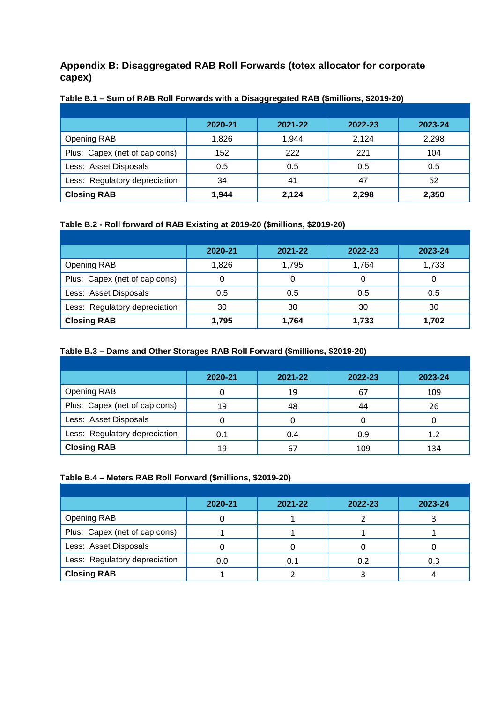## **Appendix B: Disaggregated RAB Roll Forwards (totex allocator for corporate capex)**

|                               | 2020-21 | 2021-22 | 2022-23 | 2023-24 |
|-------------------------------|---------|---------|---------|---------|
| Opening RAB                   | 1.826   | 1.944   | 2.124   | 2,298   |
| Plus: Capex (net of cap cons) | 152     | 222     | 221     | 104     |
| Less: Asset Disposals         | 0.5     | 0.5     | 0.5     | 0.5     |
| Less: Regulatory depreciation | 34      | 41      | 47      | 52      |
| <b>Closing RAB</b>            | 1,944   | 2,124   | 2,298   | 2,350   |

### **Table B.1 – Sum of RAB Roll Forwards with a Disaggregated RAB (\$millions, \$2019-20)**

## **Table B.2 - Roll forward of RAB Existing at 2019-20 (\$millions, \$2019-20)**

|                               | 2020-21 | 2021-22 | 2022-23 | 2023-24 |
|-------------------------------|---------|---------|---------|---------|
| Opening RAB                   | 1,826   | 1,795   | 1,764   | 1,733   |
| Plus: Capex (net of cap cons) |         | 0       |         | O       |
| Less: Asset Disposals         | 0.5     | 0.5     | 0.5     | 0.5     |
| Less: Regulatory depreciation | 30      | 30      | 30      | 30      |
| <b>Closing RAB</b>            | 1,795   | 1,764   | 1,733   | 1,702   |

### **Table B.3 – Dams and Other Storages RAB Roll Forward (\$millions, \$2019-20)**

|                               | 2020-21 | 2021-22 | 2022-23 | 2023-24 |
|-------------------------------|---------|---------|---------|---------|
| <b>Opening RAB</b>            |         | 19      | 67      | 109     |
| Plus: Capex (net of cap cons) | 19      | 48      | 44      | 26      |
| Less: Asset Disposals         |         |         |         |         |
| Less: Regulatory depreciation | 0.1     | 0.4     | 0.9     | 1.2     |
| <b>Closing RAB</b>            | 19      | 67      | 109     | 134     |

### **Table B.4 – Meters RAB Roll Forward (\$millions, \$2019-20)**

|                               | 2020-21 | 2021-22 | 2022-23 | 2023-24 |
|-------------------------------|---------|---------|---------|---------|
| <b>Opening RAB</b>            |         |         |         |         |
| Plus: Capex (net of cap cons) |         |         |         |         |
| Less: Asset Disposals         |         |         |         |         |
| Less: Regulatory depreciation | 0.0     | 0.1     | 0.2     | 0.3     |
| <b>Closing RAB</b>            |         |         |         |         |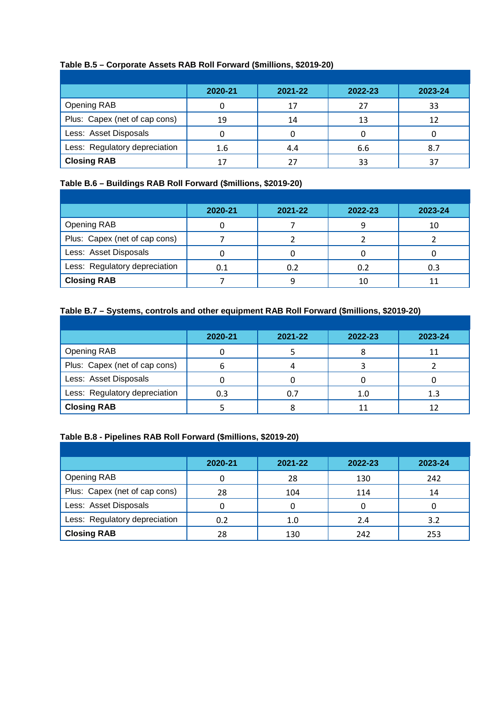## **Table B.5 – Corporate Assets RAB Roll Forward (\$millions, \$2019-20)**

|                               | 2020-21 | 2021-22 | 2022-23 | 2023-24 |
|-------------------------------|---------|---------|---------|---------|
| Opening RAB                   |         | 17      | 27      | 33      |
| Plus: Capex (net of cap cons) | 19      | 14      | 13      | 12      |
| Less: Asset Disposals         |         |         |         |         |
| Less: Regulatory depreciation | 1.6     | 4.4     | 6.6     | 8.7     |
| <b>Closing RAB</b>            |         |         |         | 37      |

### **Table B.6 – Buildings RAB Roll Forward (\$millions, \$2019-20)**

|                               | 2020-21 | 2021-22 | 2022-23 | 2023-24 |
|-------------------------------|---------|---------|---------|---------|
| Opening RAB                   |         |         |         | 10      |
| Plus: Capex (net of cap cons) |         |         |         |         |
| Less: Asset Disposals         |         |         |         |         |
| Less: Regulatory depreciation |         | 0.2     | 0.2     | 0.3     |
| <b>Closing RAB</b>            |         |         | 10      |         |

## **Table B.7 – Systems, controls and other equipment RAB Roll Forward (\$millions, \$2019-20)**

|                               | 2020-21 | 2021-22 | 2022-23 | 2023-24 |
|-------------------------------|---------|---------|---------|---------|
| <b>Opening RAB</b>            |         |         |         | 11      |
| Plus: Capex (net of cap cons) |         |         |         |         |
| Less: Asset Disposals         |         |         |         |         |
| Less: Regulatory depreciation | 0.3     | 0.7     |         | 1.3     |
| <b>Closing RAB</b>            |         |         |         | 12      |

### **Table B.8 - Pipelines RAB Roll Forward (\$millions, \$2019-20)**

|                               | 2020-21 | 2021-22 | 2022-23 | 2023-24 |
|-------------------------------|---------|---------|---------|---------|
| <b>Opening RAB</b>            |         | 28      | 130     | 242     |
| Plus: Capex (net of cap cons) | 28      | 104     | 114     | 14      |
| Less: Asset Disposals         |         |         |         | O       |
| Less: Regulatory depreciation | 0.2     | 1.0     | 2.4     | 3.2     |
| <b>Closing RAB</b>            | 28      | 130     | 242     | 253     |